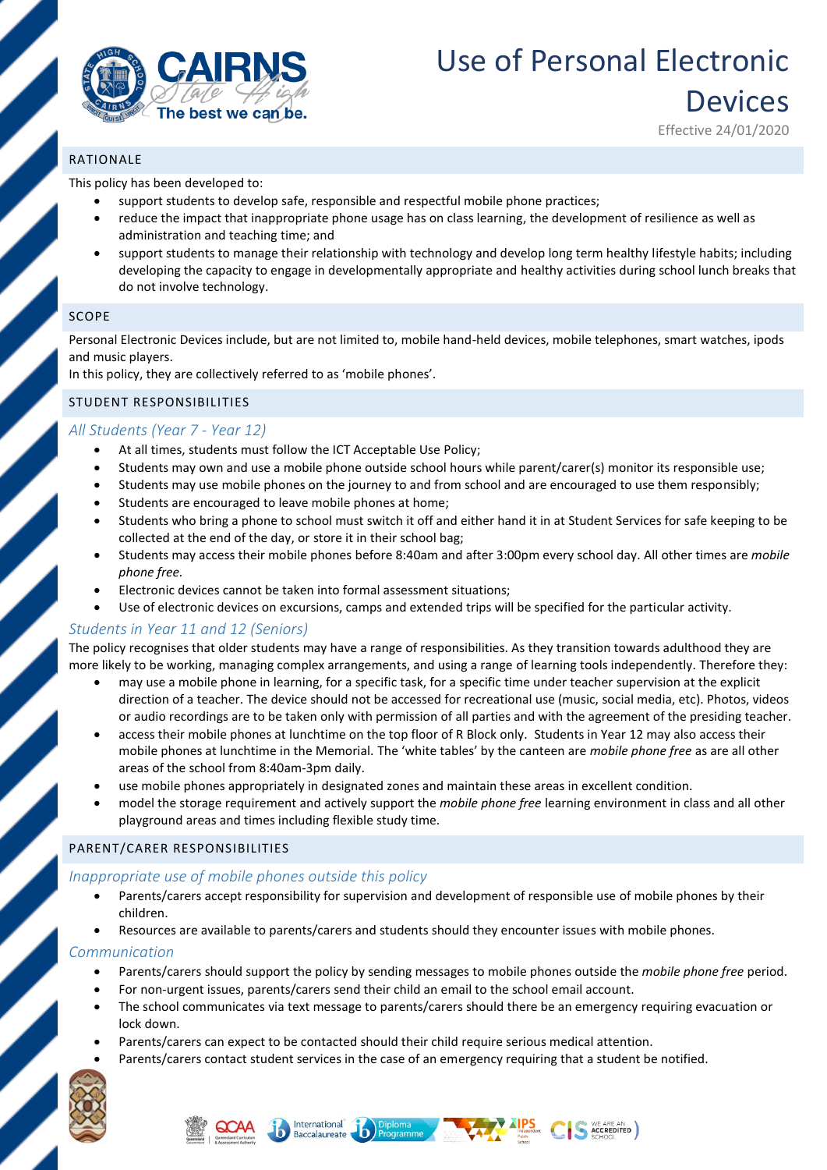

# Use of Personal Electronic **Devices**

### Effective 24/01/2020

#### RATIONALE

This policy has been developed to:

- support students to develop safe, responsible and respectful mobile phone practices;
- reduce the impact that inappropriate phone usage has on class learning, the development of resilience as well as administration and teaching time; and
- support students to manage their relationship with technology and develop long term healthy lifestyle habits; including developing the capacity to engage in developmentally appropriate and healthy activities during school lunch breaks that do not involve technology.

#### SCOPE

Personal Electronic Devices include, but are not limited to, mobile hand-held devices, mobile telephones, smart watches, ipods and music players.

In this policy, they are collectively referred to as 'mobile phones'.

#### STUDENT RESPONSIBILITIES

#### *All Students (Year 7 - Year 12)*

- At all times, students must follow the ICT Acceptable Use Policy;
- Students may own and use a mobile phone outside school hours while parent/carer(s) monitor its responsible use;
- Students may use mobile phones on the journey to and from school and are encouraged to use them responsibly;
- Students are encouraged to leave mobile phones at home;
- Students who bring a phone to school must switch it off and either hand it in at Student Services for safe keeping to be collected at the end of the day, or store it in their school bag;
- Students may access their mobile phones before 8:40am and after 3:00pm every school day. All other times are *mobile phone free.*
- Electronic devices cannot be taken into formal assessment situations;
- Use of electronic devices on excursions, camps and extended trips will be specified for the particular activity.

#### *Students in Year 11 and 12 (Seniors)*

The policy recognises that older students may have a range of responsibilities. As they transition towards adulthood they are more likely to be working, managing complex arrangements, and using a range of learning tools independently. Therefore they:

- may use a mobile phone in learning, for a specific task, for a specific time under teacher supervision at the explicit direction of a teacher. The device should not be accessed for recreational use (music, social media, etc). Photos, videos or audio recordings are to be taken only with permission of all parties and with the agreement of the presiding teacher.
- access their mobile phones at lunchtime on the top floor of R Block only. Students in Year 12 may also access their mobile phones at lunchtime in the Memorial. The 'white tables' by the canteen are *mobile phone free* as are all other areas of the school from 8:40am-3pm daily.
- use mobile phones appropriately in designated zones and maintain these areas in excellent condition.
- model the storage requirement and actively support the *mobile phone free* learning environment in class and all other playground areas and times including flexible study time.

#### PARENT/CARER RESPONSIBILITIES

#### *Inappropriate use of mobile phones outside this policy*

- Parents/carers accept responsibility for supervision and development of responsible use of mobile phones by their children.
- Resources are available to parents/carers and students should they encounter issues with mobile phones.

#### *Communication*

- Parents/carers should support the policy by sending messages to mobile phones outside the *mobile phone free* period.
- For non-urgent issues, parents/carers send their child an email to the school email account.
- The school communicates via text message to parents/carers should there be an emergency requiring evacuation or lock down.
- Parents/carers can expect to be contacted should their child require serious medical attention.
- Parents/carers contact student services in the case of an emergency requiring that a student be notified.